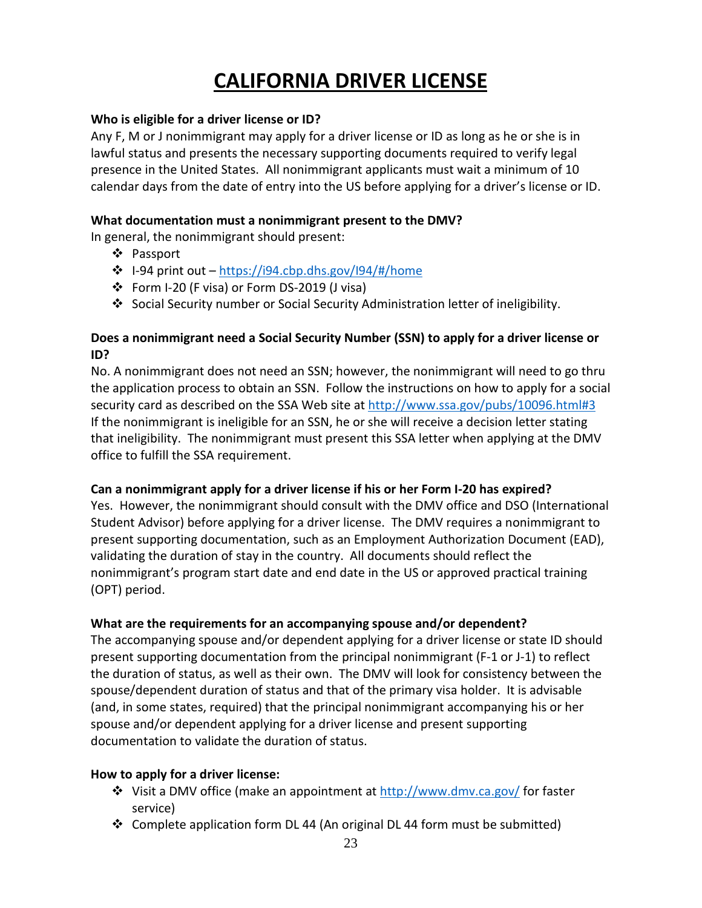# **CALIFORNIA DRIVER LICENSE**

#### **Who is eligible for a driver license or ID?**

Any F, M or J nonimmigrant may apply for a driver license or ID as long as he or she is in lawful status and presents the necessary supporting documents required to verify legal presence in the United States. All nonimmigrant applicants must wait a minimum of 10 calendar days from the date of entry into the US before applying for a driver's license or ID.

#### **What documentation must a nonimmigrant present to the DMV?**

In general, the nonimmigrant should present:

- Passport
- $\cdot \cdot$  I-94 print out <https://i94.cbp.dhs.gov/I94/#/home>
- Form I-20 (F visa) or Form DS-2019 (J visa)
- Social Security number or Social Security Administration letter of ineligibility.

## **Does a nonimmigrant need a Social Security Number (SSN) to apply for a driver license or ID?**

No. A nonimmigrant does not need an SSN; however, the nonimmigrant will need to go thru the application process to obtain an SSN. Follow the instructions on how to apply for a social security card as described on the SSA Web site at<http://www.ssa.gov/pubs/10096.html#3> If the nonimmigrant is ineligible for an SSN, he or she will receive a decision letter stating that ineligibility. The nonimmigrant must present this SSA letter when applying at the DMV office to fulfill the SSA requirement.

## **Can a nonimmigrant apply for a driver license if his or her Form I-20 has expired?**

Yes. However, the nonimmigrant should consult with the DMV office and DSO (International Student Advisor) before applying for a driver license. The DMV requires a nonimmigrant to present supporting documentation, such as an Employment Authorization Document (EAD), validating the duration of stay in the country. All documents should reflect the nonimmigrant's program start date and end date in the US or approved practical training (OPT) period.

## **What are the requirements for an accompanying spouse and/or dependent?**

The accompanying spouse and/or dependent applying for a driver license or state ID should present supporting documentation from the principal nonimmigrant (F-1 or J-1) to reflect the duration of status, as well as their own. The DMV will look for consistency between the spouse/dependent duration of status and that of the primary visa holder. It is advisable (and, in some states, required) that the principal nonimmigrant accompanying his or her spouse and/or dependent applying for a driver license and present supporting documentation to validate the duration of status.

## **How to apply for a driver license:**

- **❖** Visit a DMV office (make an appointment at<http://www.dmv.ca.gov/> for faster service)
- Complete application form DL 44 (An original DL 44 form must be submitted)